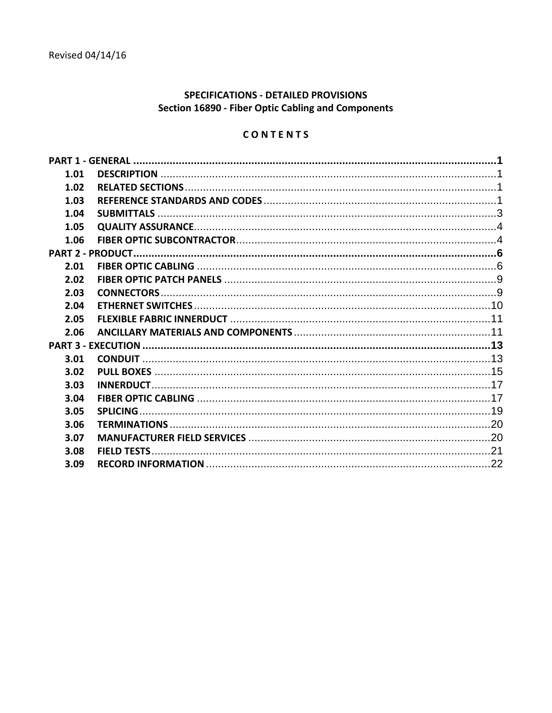# **SPECIFICATIONS - DETAILED PROVISIONS** Section 16890 - Fiber Optic Cabling and Components

# CONTENTS

| 1.01 |  |
|------|--|
| 1.02 |  |
| 1.03 |  |
| 1.04 |  |
| 1.05 |  |
| 1.06 |  |
|      |  |
| 2.01 |  |
| 2.02 |  |
| 2.03 |  |
| 2.04 |  |
| 2.05 |  |
| 2.06 |  |
|      |  |
| 3.01 |  |
| 3.02 |  |
| 3.03 |  |
| 3.04 |  |
| 3.05 |  |
| 3.06 |  |
| 3.07 |  |
| 3.08 |  |
| 3.09 |  |
|      |  |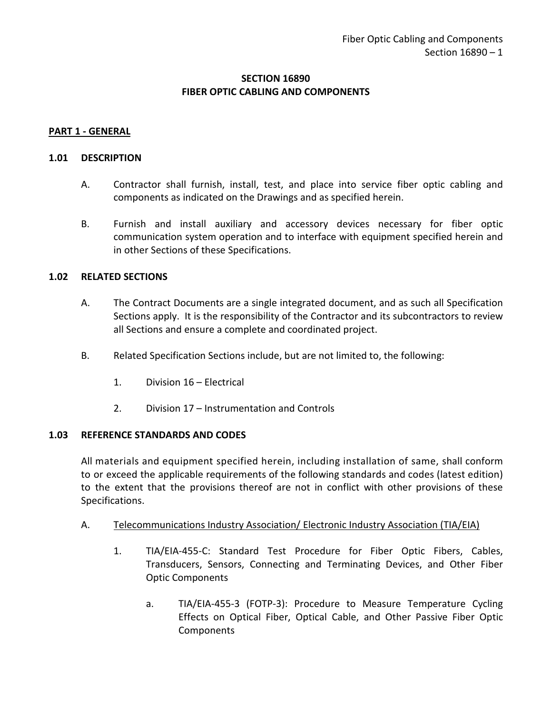# **SECTION 16890 FIBER OPTIC CABLING AND COMPONENTS**

#### <span id="page-2-0"></span>**PART 1 - GENERAL**

#### <span id="page-2-1"></span>**1.01 DESCRIPTION**

- A. Contractor shall furnish, install, test, and place into service fiber optic cabling and components as indicated on the Drawings and as specified herein.
- B. Furnish and install auxiliary and accessory devices necessary for fiber optic communication system operation and to interface with equipment specified herein and in other Sections of these Specifications.

#### <span id="page-2-2"></span>**1.02 RELATED SECTIONS**

- A. The Contract Documents are a single integrated document, and as such all Specification Sections apply. It is the responsibility of the Contractor and its subcontractors to review all Sections and ensure a complete and coordinated project.
- B. Related Specification Sections include, but are not limited to, the following:
	- 1. Division 16 Electrical
	- 2. Division 17 Instrumentation and Controls

#### <span id="page-2-3"></span>**1.03 REFERENCE STANDARDS AND CODES**

All materials and equipment specified herein, including installation of same, shall conform to or exceed the applicable requirements of the following standards and codes (latest edition) to the extent that the provisions thereof are not in conflict with other provisions of these Specifications.

- A. Telecommunications Industry Association/ Electronic Industry Association (TIA/EIA)
	- 1. TIA/EIA-455-C: Standard Test Procedure for Fiber Optic Fibers, Cables, Transducers, Sensors, Connecting and Terminating Devices, and Other Fiber Optic Components
		- a. TIA/EIA-455-3 (FOTP-3): Procedure to Measure Temperature Cycling Effects on Optical Fiber, Optical Cable, and Other Passive Fiber Optic **Components**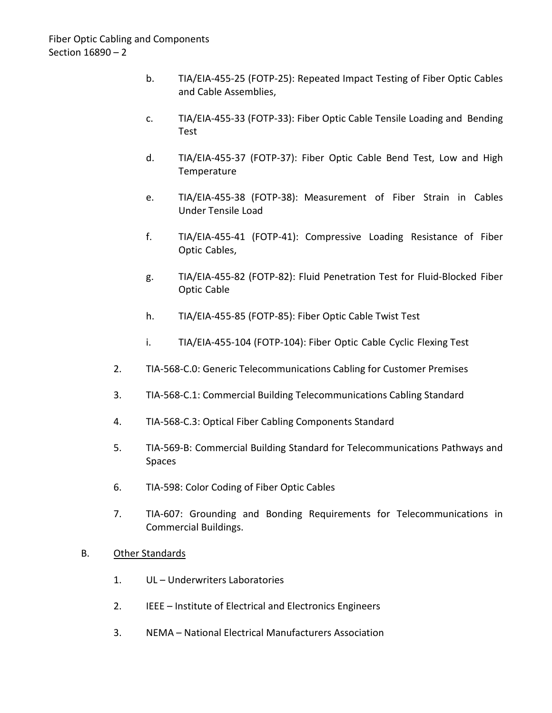- b. TIA/EIA-455-25 (FOTP-25): Repeated Impact Testing of Fiber Optic Cables and Cable Assemblies,
- c. TIA/EIA-455-33 (FOTP-33): Fiber Optic Cable Tensile Loading and Bending Test
- d. TIA/EIA-455-37 (FOTP-37): Fiber Optic Cable Bend Test, Low and High Temperature
- e. TIA/EIA-455-38 (FOTP-38): Measurement of Fiber Strain in Cables Under Tensile Load
- f. TIA/EIA-455-41 (FOTP-41): Compressive Loading Resistance of Fiber Optic Cables,
- g. TIA/EIA-455-82 (FOTP-82): Fluid Penetration Test for Fluid-Blocked Fiber Optic Cable
- h. TIA/EIA-455-85 (FOTP-85): Fiber Optic Cable Twist Test
- i. TIA/EIA-455-104 (FOTP-104): Fiber Optic Cable Cyclic Flexing Test
- 2. TIA-568-C.0: Generic Telecommunications Cabling for Customer Premises
- 3. TIA-568-C.1: Commercial Building Telecommunications Cabling Standard
- 4. TIA-568-C.3: Optical Fiber Cabling Components Standard
- 5. TIA-569-B: Commercial Building Standard for Telecommunications Pathways and Spaces
- 6. TIA-598: Color Coding of Fiber Optic Cables
- 7. TIA-607: Grounding and Bonding Requirements for Telecommunications in Commercial Buildings.

#### B. Other Standards

- 1. UL Underwriters Laboratories
- 2. IEEE Institute of Electrical and Electronics Engineers
- 3. NEMA National Electrical Manufacturers Association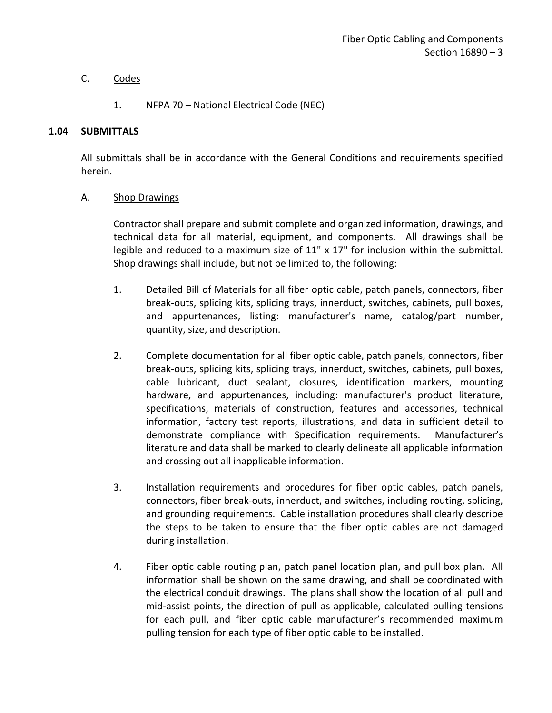# C. Codes

# 1. NFPA 70 – National Electrical Code (NEC)

#### <span id="page-4-0"></span>**1.04 SUBMITTALS**

All submittals shall be in accordance with the General Conditions and requirements specified herein.

#### A. Shop Drawings

Contractor shall prepare and submit complete and organized information, drawings, and technical data for all material, equipment, and components. All drawings shall be legible and reduced to a maximum size of  $11'' \times 17''$  for inclusion within the submittal. Shop drawings shall include, but not be limited to, the following:

- 1. Detailed Bill of Materials for all fiber optic cable, patch panels, connectors, fiber break-outs, splicing kits, splicing trays, innerduct, switches, cabinets, pull boxes, and appurtenances, listing: manufacturer's name, catalog/part number, quantity, size, and description.
- 2. Complete documentation for all fiber optic cable, patch panels, connectors, fiber break-outs, splicing kits, splicing trays, innerduct, switches, cabinets, pull boxes, cable lubricant, duct sealant, closures, identification markers, mounting hardware, and appurtenances, including: manufacturer's product literature, specifications, materials of construction, features and accessories, technical information, factory test reports, illustrations, and data in sufficient detail to demonstrate compliance with Specification requirements. Manufacturer's literature and data shall be marked to clearly delineate all applicable information and crossing out all inapplicable information.
- 3. Installation requirements and procedures for fiber optic cables, patch panels, connectors, fiber break-outs, innerduct, and switches, including routing, splicing, and grounding requirements. Cable installation procedures shall clearly describe the steps to be taken to ensure that the fiber optic cables are not damaged during installation.
- 4. Fiber optic cable routing plan, patch panel location plan, and pull box plan. All information shall be shown on the same drawing, and shall be coordinated with the electrical conduit drawings. The plans shall show the location of all pull and mid-assist points, the direction of pull as applicable, calculated pulling tensions for each pull, and fiber optic cable manufacturer's recommended maximum pulling tension for each type of fiber optic cable to be installed.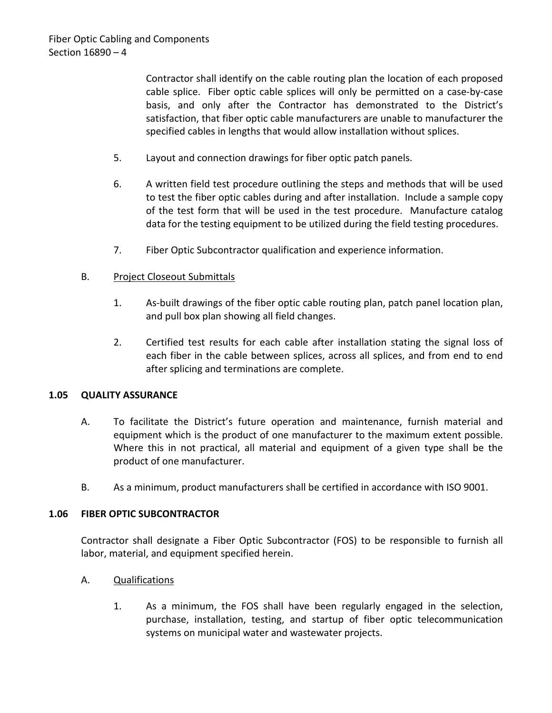Contractor shall identify on the cable routing plan the location of each proposed cable splice. Fiber optic cable splices will only be permitted on a case-by-case basis, and only after the Contractor has demonstrated to the District's satisfaction, that fiber optic cable manufacturers are unable to manufacturer the specified cables in lengths that would allow installation without splices.

- 5. Layout and connection drawings for fiber optic patch panels.
- 6. A written field test procedure outlining the steps and methods that will be used to test the fiber optic cables during and after installation. Include a sample copy of the test form that will be used in the test procedure. Manufacture catalog data for the testing equipment to be utilized during the field testing procedures.
- 7. Fiber Optic Subcontractor qualification and experience information.

#### B. Project Closeout Submittals

- 1. As-built drawings of the fiber optic cable routing plan, patch panel location plan, and pull box plan showing all field changes.
- 2. Certified test results for each cable after installation stating the signal loss of each fiber in the cable between splices, across all splices, and from end to end after splicing and terminations are complete.

#### <span id="page-5-0"></span>**1.05 QUALITY ASSURANCE**

- A. To facilitate the District's future operation and maintenance, furnish material and equipment which is the product of one manufacturer to the maximum extent possible. Where this in not practical, all material and equipment of a given type shall be the product of one manufacturer.
- B. As a minimum, product manufacturers shall be certified in accordance with ISO 9001.

#### <span id="page-5-1"></span>**1.06 FIBER OPTIC SUBCONTRACTOR**

Contractor shall designate a Fiber Optic Subcontractor (FOS) to be responsible to furnish all labor, material, and equipment specified herein.

- A. Qualifications
	- 1. As a minimum, the FOS shall have been regularly engaged in the selection, purchase, installation, testing, and startup of fiber optic telecommunication systems on municipal water and wastewater projects.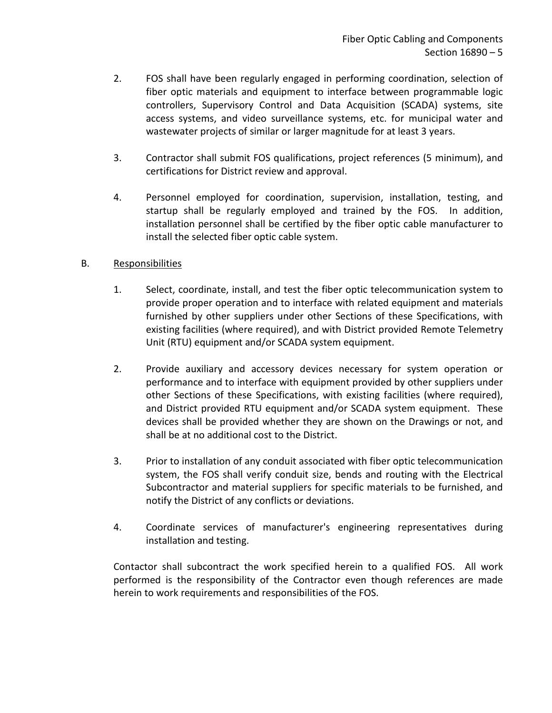- 2. FOS shall have been regularly engaged in performing coordination, selection of fiber optic materials and equipment to interface between programmable logic controllers, Supervisory Control and Data Acquisition (SCADA) systems, site access systems, and video surveillance systems, etc. for municipal water and wastewater projects of similar or larger magnitude for at least 3 years.
- 3. Contractor shall submit FOS qualifications, project references (5 minimum), and certifications for District review and approval.
- 4. Personnel employed for coordination, supervision, installation, testing, and startup shall be regularly employed and trained by the FOS. In addition, installation personnel shall be certified by the fiber optic cable manufacturer to install the selected fiber optic cable system.

# B. Responsibilities

- 1. Select, coordinate, install, and test the fiber optic telecommunication system to provide proper operation and to interface with related equipment and materials furnished by other suppliers under other Sections of these Specifications, with existing facilities (where required), and with District provided Remote Telemetry Unit (RTU) equipment and/or SCADA system equipment.
- 2. Provide auxiliary and accessory devices necessary for system operation or performance and to interface with equipment provided by other suppliers under other Sections of these Specifications, with existing facilities (where required), and District provided RTU equipment and/or SCADA system equipment. These devices shall be provided whether they are shown on the Drawings or not, and shall be at no additional cost to the District.
- 3. Prior to installation of any conduit associated with fiber optic telecommunication system, the FOS shall verify conduit size, bends and routing with the Electrical Subcontractor and material suppliers for specific materials to be furnished, and notify the District of any conflicts or deviations.
- 4. Coordinate services of manufacturer's engineering representatives during installation and testing.

Contactor shall subcontract the work specified herein to a qualified FOS. All work performed is the responsibility of the Contractor even though references are made herein to work requirements and responsibilities of the FOS.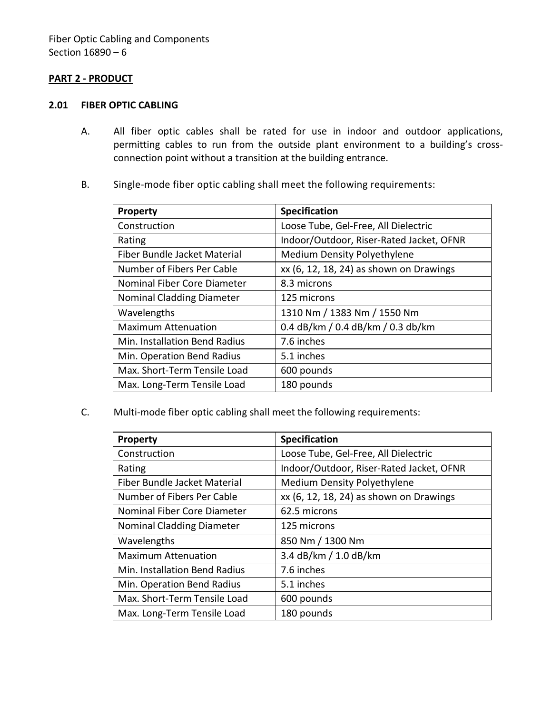#### <span id="page-7-0"></span>**PART 2 - PRODUCT**

#### <span id="page-7-1"></span>**2.01 FIBER OPTIC CABLING**

- A. All fiber optic cables shall be rated for use in indoor and outdoor applications, permitting cables to run from the outside plant environment to a building's crossconnection point without a transition at the building entrance.
- B. Single-mode fiber optic cabling shall meet the following requirements:

| <b>Property</b>                  | <b>Specification</b>                     |
|----------------------------------|------------------------------------------|
| Construction                     | Loose Tube, Gel-Free, All Dielectric     |
| Rating                           | Indoor/Outdoor, Riser-Rated Jacket, OFNR |
| Fiber Bundle Jacket Material     | <b>Medium Density Polyethylene</b>       |
| Number of Fibers Per Cable       | xx (6, 12, 18, 24) as shown on Drawings  |
| Nominal Fiber Core Diameter      | 8.3 microns                              |
| <b>Nominal Cladding Diameter</b> | 125 microns                              |
| Wavelengths                      | 1310 Nm / 1383 Nm / 1550 Nm              |
| <b>Maximum Attenuation</b>       | 0.4 dB/km / 0.4 dB/km / 0.3 db/km        |
| Min. Installation Bend Radius    | 7.6 inches                               |
| Min. Operation Bend Radius       | 5.1 inches                               |
| Max. Short-Term Tensile Load     | 600 pounds                               |
| Max. Long-Term Tensile Load      | 180 pounds                               |

C. Multi-mode fiber optic cabling shall meet the following requirements:

| <b>Property</b>                  | <b>Specification</b>                     |
|----------------------------------|------------------------------------------|
| Construction                     | Loose Tube, Gel-Free, All Dielectric     |
| Rating                           | Indoor/Outdoor, Riser-Rated Jacket, OFNR |
| Fiber Bundle Jacket Material     | <b>Medium Density Polyethylene</b>       |
| Number of Fibers Per Cable       | xx (6, 12, 18, 24) as shown on Drawings  |
| Nominal Fiber Core Diameter      | 62.5 microns                             |
| <b>Nominal Cladding Diameter</b> | 125 microns                              |
| Wavelengths                      | 850 Nm / 1300 Nm                         |
| <b>Maximum Attenuation</b>       | 3.4 dB/km / 1.0 dB/km                    |
| Min. Installation Bend Radius    | 7.6 inches                               |
| Min. Operation Bend Radius       | 5.1 inches                               |
| Max. Short-Term Tensile Load     | 600 pounds                               |
| Max. Long-Term Tensile Load      | 180 pounds                               |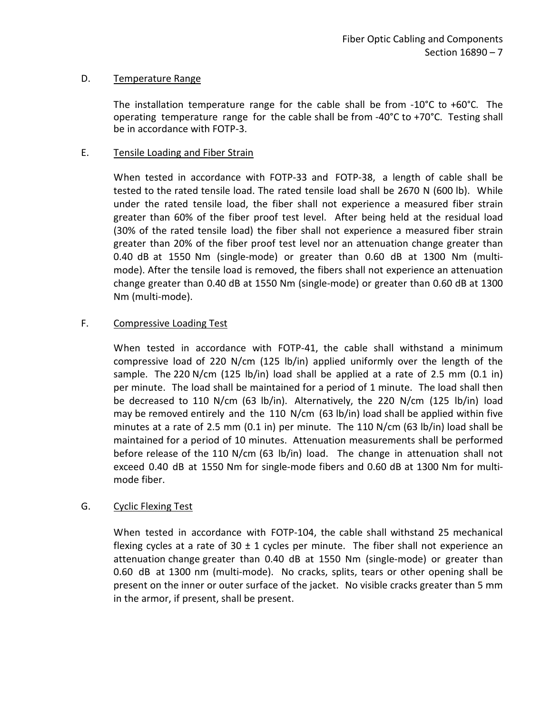# D. Temperature Range

The installation temperature range for the cable shall be from  $-10^{\circ}$ C to  $+60^{\circ}$ C. The operating temperature range for the cable shall be from -40°C to +70°C. Testing shall be in accordance with FOTP-3.

### E. Tensile Loading and Fiber Strain

When tested in accordance with FOTP-33 and FOTP-38, a length of cable shall be tested to the rated tensile load. The rated tensile load shall be 2670 N (600 lb). While under the rated tensile load, the fiber shall not experience a measured fiber strain greater than 60% of the fiber proof test level. After being held at the residual load (30% of the rated tensile load) the fiber shall not experience a measured fiber strain greater than 20% of the fiber proof test level nor an attenuation change greater than 0.40 dB at 1550 Nm (single-mode) or greater than 0.60 dB at 1300 Nm (multimode). After the tensile load is removed, the fibers shall not experience an attenuation change greater than 0.40 dB at 1550 Nm (single-mode) or greater than 0.60 dB at 1300 Nm (multi-mode).

# F. Compressive Loading Test

When tested in accordance with FOTP-41, the cable shall withstand a minimum compressive load of 220 N/cm (125 lb/in) applied uniformly over the length of the sample. The 220 N/cm (125 lb/in) load shall be applied at a rate of 2.5 mm (0.1 in) per minute. The load shall be maintained for a period of 1 minute. The load shall then be decreased to 110 N/cm (63 lb/in). Alternatively, the 220 N/cm (125 lb/in) load may be removed entirely and the 110 N/cm (63 lb/in) load shall be applied within five minutes at a rate of 2.5 mm (0.1 in) per minute. The 110 N/cm (63 lb/in) load shall be maintained for a period of 10 minutes. Attenuation measurements shall be performed before release of the 110 N/cm (63 lb/in) load. The change in attenuation shall not exceed 0.40 dB at 1550 Nm for single-mode fibers and 0.60 dB at 1300 Nm for multimode fiber.

#### G. Cyclic Flexing Test

When tested in accordance with FOTP-104, the cable shall withstand 25 mechanical flexing cycles at a rate of 30  $\pm$  1 cycles per minute. The fiber shall not experience an attenuation change greater than 0.40 dB at 1550 Nm (single-mode) or greater than 0.60 dB at 1300 nm (multi-mode). No cracks, splits, tears or other opening shall be present on the inner or outer surface of the jacket. No visible cracks greater than 5 mm in the armor, if present, shall be present.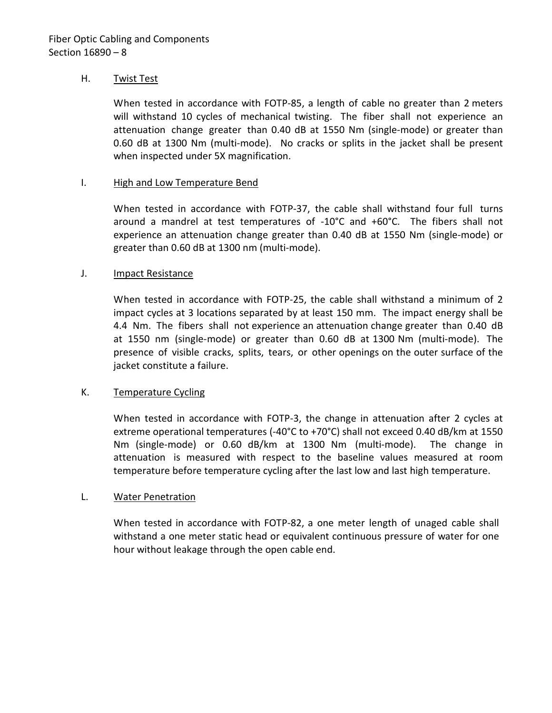#### H. Twist Test

When tested in accordance with FOTP-85, a length of cable no greater than 2 meters will withstand 10 cycles of mechanical twisting. The fiber shall not experience an attenuation change greater than 0.40 dB at 1550 Nm (single-mode) or greater than 0.60 dB at 1300 Nm (multi-mode). No cracks or splits in the jacket shall be present when inspected under 5X magnification.

#### I. High and Low Temperature Bend

When tested in accordance with FOTP-37, the cable shall withstand four full turns around a mandrel at test temperatures of -10°C and +60°C. The fibers shall not experience an attenuation change greater than 0.40 dB at 1550 Nm (single-mode) or greater than 0.60 dB at 1300 nm (multi-mode).

#### J. Impact Resistance

When tested in accordance with FOTP-25, the cable shall withstand a minimum of 2 impact cycles at 3 locations separated by at least 150 mm. The impact energy shall be 4.4 Nm. The fibers shall not experience an attenuation change greater than 0.40 dB at 1550 nm (single-mode) or greater than 0.60 dB at 1300 Nm (multi-mode). The presence of visible cracks, splits, tears, or other openings on the outer surface of the jacket constitute a failure.

#### K. Temperature Cycling

When tested in accordance with FOTP-3, the change in attenuation after 2 cycles at extreme operational temperatures (-40°C to +70°C) shall not exceed 0.40 dB/km at 1550 Nm (single-mode) or 0.60 dB/km at 1300 Nm (multi-mode). The change in attenuation is measured with respect to the baseline values measured at room temperature before temperature cycling after the last low and last high temperature.

#### L. Water Penetration

When tested in accordance with FOTP-82, a one meter length of unaged cable shall withstand a one meter static head or equivalent continuous pressure of water for one hour without leakage through the open cable end.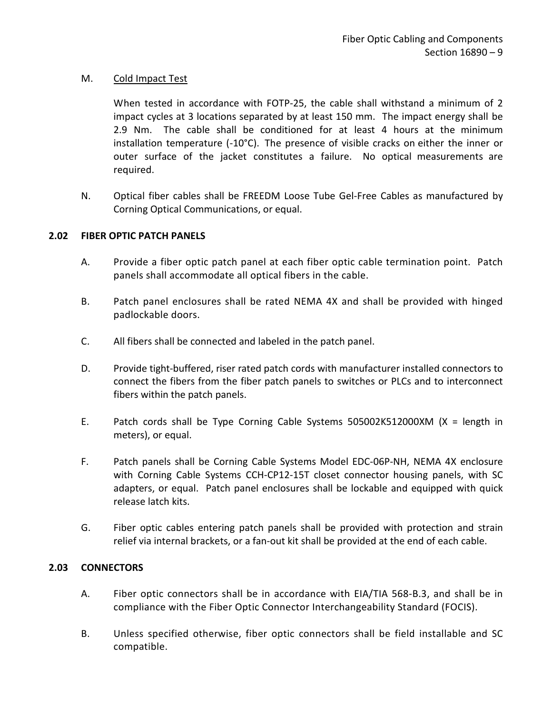### M. Cold Impact Test

When tested in accordance with FOTP-25, the cable shall withstand a minimum of 2 impact cycles at 3 locations separated by at least 150 mm. The impact energy shall be 2.9 Nm. The cable shall be conditioned for at least 4 hours at the minimum installation temperature  $(-10^{\circ}C)$ . The presence of visible cracks on either the inner or outer surface of the jacket constitutes a failure. No optical measurements are required.

N. Optical fiber cables shall be FREEDM Loose Tube Gel-Free Cables as manufactured by Corning Optical Communications, or equal.

# <span id="page-10-0"></span>**2.02 FIBER OPTIC PATCH PANELS**

- A. Provide a fiber optic patch panel at each fiber optic cable termination point. Patch panels shall accommodate all optical fibers in the cable.
- B. Patch panel enclosures shall be rated NEMA 4X and shall be provided with hinged padlockable doors.
- C. All fibers shall be connected and labeled in the patch panel.
- D. Provide tight-buffered, riser rated patch cords with manufacturer installed connectors to connect the fibers from the fiber patch panels to switches or PLCs and to interconnect fibers within the patch panels.
- E. Patch cords shall be Type Corning Cable Systems 505002K512000XM (X = length in meters), or equal.
- F. Patch panels shall be Corning Cable Systems Model EDC-06P-NH, NEMA 4X enclosure with Corning Cable Systems CCH-CP12-15T closet connector housing panels, with SC adapters, or equal. Patch panel enclosures shall be lockable and equipped with quick release latch kits.
- G. Fiber optic cables entering patch panels shall be provided with protection and strain relief via internal brackets, or a fan-out kit shall be provided at the end of each cable.

#### <span id="page-10-1"></span>**2.03 CONNECTORS**

- A. Fiber optic connectors shall be in accordance with EIA/TIA 568-B.3, and shall be in compliance with the Fiber Optic Connector Interchangeability Standard (FOCIS).
- B. Unless specified otherwise, fiber optic connectors shall be field installable and SC compatible.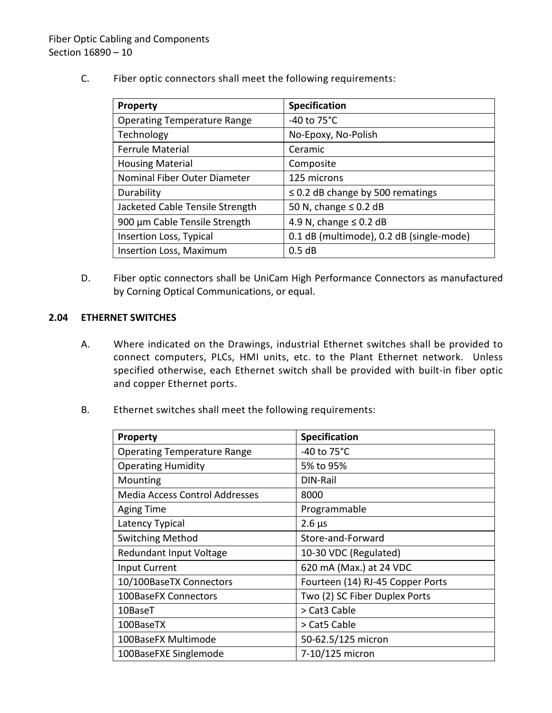C. Fiber optic connectors shall meet the following requirements:

| <b>Property</b>                    | Specification                            |
|------------------------------------|------------------------------------------|
| <b>Operating Temperature Range</b> | -40 to $75^{\circ}$ C                    |
| Technology                         | No-Epoxy, No-Polish                      |
| <b>Ferrule Material</b>            | Ceramic                                  |
| <b>Housing Material</b>            | Composite                                |
| Nominal Fiber Outer Diameter       | 125 microns                              |
| Durability                         | $\leq$ 0.2 dB change by 500 rematings    |
| Jacketed Cable Tensile Strength    | 50 N, change $\leq$ 0.2 dB               |
| 900 µm Cable Tensile Strength      | 4.9 N, change $\leq$ 0.2 dB              |
| Insertion Loss, Typical            | 0.1 dB (multimode), 0.2 dB (single-mode) |
| Insertion Loss, Maximum            | 0.5dB                                    |

D. Fiber optic connectors shall be UniCam High Performance Connectors as manufactured by Corning Optical Communications, or equal.

# <span id="page-11-0"></span>**2.04 ETHERNET SWITCHES**

- A. Where indicated on the Drawings, industrial Ethernet switches shall be provided to connect computers, PLCs, HMI units, etc. to the Plant Ethernet network. Unless specified otherwise, each Ethernet switch shall be provided with built-in fiber optic and copper Ethernet ports.
- B. Ethernet switches shall meet the following requirements:

| <b>Property</b>                       | <b>Specification</b>             |
|---------------------------------------|----------------------------------|
| <b>Operating Temperature Range</b>    | -40 to 75°C                      |
| <b>Operating Humidity</b>             | 5% to 95%                        |
| Mounting                              | DIN-Rail                         |
| <b>Media Access Control Addresses</b> | 8000                             |
| <b>Aging Time</b>                     | Programmable                     |
| Latency Typical                       | $2.6 \mu s$                      |
| <b>Switching Method</b>               | Store-and-Forward                |
| Redundant Input Voltage               | 10-30 VDC (Regulated)            |
| <b>Input Current</b>                  | 620 mA (Max.) at 24 VDC          |
| 10/100BaseTX Connectors               | Fourteen (14) RJ-45 Copper Ports |
| 100BaseFX Connectors                  | Two (2) SC Fiber Duplex Ports    |
| 10BaseT                               | > Cat3 Cable                     |
| 100BaseTX                             | > Cat5 Cable                     |
| 100BaseFX Multimode                   | 50-62.5/125 micron               |
| 100BaseFXE Singlemode                 | 7-10/125 micron                  |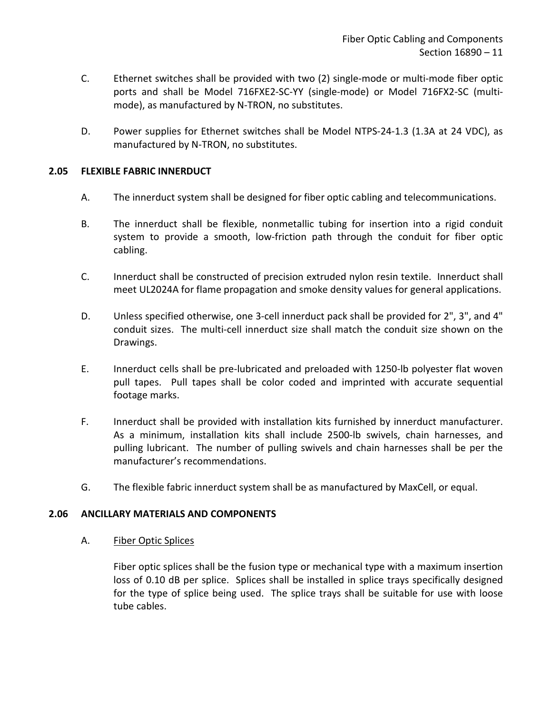- C. Ethernet switches shall be provided with two (2) single-mode or multi-mode fiber optic ports and shall be Model 716FXE2-SC-YY (single-mode) or Model 716FX2-SC (multimode), as manufactured by N-TRON, no substitutes.
- D. Power supplies for Ethernet switches shall be Model NTPS-24-1.3 (1.3A at 24 VDC), as manufactured by N-TRON, no substitutes.

# <span id="page-12-0"></span>**2.05 FLEXIBLE FABRIC INNERDUCT**

- A. The innerduct system shall be designed for fiber optic cabling and telecommunications.
- B. The innerduct shall be flexible, nonmetallic tubing for insertion into a rigid conduit system to provide a smooth, low-friction path through the conduit for fiber optic cabling.
- C. Innerduct shall be constructed of precision extruded nylon resin textile. Innerduct shall meet UL2024A for flame propagation and smoke density values for general applications.
- D. Unless specified otherwise, one 3-cell innerduct pack shall be provided for 2", 3", and 4" conduit sizes. The multi-cell innerduct size shall match the conduit size shown on the Drawings.
- E. Innerduct cells shall be pre-lubricated and preloaded with 1250-lb polyester flat woven pull tapes. Pull tapes shall be color coded and imprinted with accurate sequential footage marks.
- F. Innerduct shall be provided with installation kits furnished by innerduct manufacturer. As a minimum, installation kits shall include 2500-lb swivels, chain harnesses, and pulling lubricant. The number of pulling swivels and chain harnesses shall be per the manufacturer's recommendations.
- G. The flexible fabric innerduct system shall be as manufactured by MaxCell, or equal.

#### <span id="page-12-1"></span>**2.06 ANCILLARY MATERIALS AND COMPONENTS**

A. Fiber Optic Splices

Fiber optic splices shall be the fusion type or mechanical type with a maximum insertion loss of 0.10 dB per splice. Splices shall be installed in splice trays specifically designed for the type of splice being used. The splice trays shall be suitable for use with loose tube cables.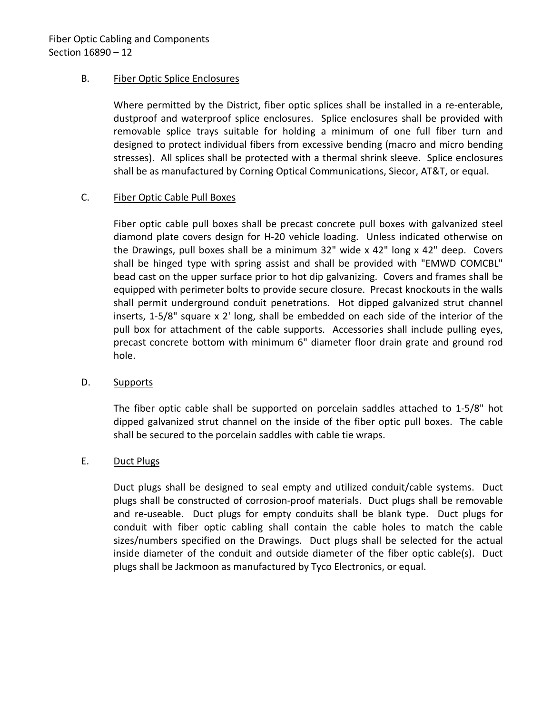# B. Fiber Optic Splice Enclosures

Where permitted by the District, fiber optic splices shall be installed in a re-enterable, dustproof and waterproof splice enclosures. Splice enclosures shall be provided with removable splice trays suitable for holding a minimum of one full fiber turn and designed to protect individual fibers from excessive bending (macro and micro bending stresses). All splices shall be protected with a thermal shrink sleeve. Splice enclosures shall be as manufactured by Corning Optical Communications, Siecor, AT&T, or equal.

# C. Fiber Optic Cable Pull Boxes

Fiber optic cable pull boxes shall be precast concrete pull boxes with galvanized steel diamond plate covers design for H-20 vehicle loading. Unless indicated otherwise on the Drawings, pull boxes shall be a minimum 32" wide x 42" long x 42" deep. Covers shall be hinged type with spring assist and shall be provided with "EMWD COMCBL" bead cast on the upper surface prior to hot dip galvanizing. Covers and frames shall be equipped with perimeter bolts to provide secure closure. Precast knockouts in the walls shall permit underground conduit penetrations. Hot dipped galvanized strut channel inserts, 1-5/8" square x 2' long, shall be embedded on each side of the interior of the pull box for attachment of the cable supports. Accessories shall include pulling eyes, precast concrete bottom with minimum 6" diameter floor drain grate and ground rod hole.

#### D. Supports

The fiber optic cable shall be supported on porcelain saddles attached to 1-5/8" hot dipped galvanized strut channel on the inside of the fiber optic pull boxes. The cable shall be secured to the porcelain saddles with cable tie wraps.

# E. Duct Plugs

Duct plugs shall be designed to seal empty and utilized conduit/cable systems. Duct plugs shall be constructed of corrosion-proof materials. Duct plugs shall be removable and re-useable. Duct plugs for empty conduits shall be blank type. Duct plugs for conduit with fiber optic cabling shall contain the cable holes to match the cable sizes/numbers specified on the Drawings. Duct plugs shall be selected for the actual inside diameter of the conduit and outside diameter of the fiber optic cable(s). Duct plugs shall be Jackmoon as manufactured by Tyco Electronics, or equal.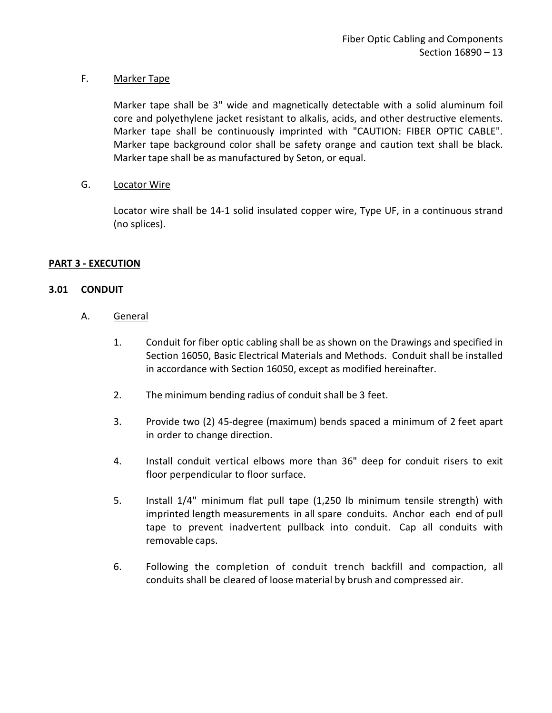# F. Marker Tape

Marker tape shall be 3" wide and magnetically detectable with a solid aluminum foil core and polyethylene jacket resistant to alkalis, acids, and other destructive elements. Marker tape shall be continuously imprinted with "CAUTION: FIBER OPTIC CABLE". Marker tape background color shall be safety orange and caution text shall be black. Marker tape shall be as manufactured by Seton, or equal.

# G. Locator Wire

Locator wire shall be 14-1 solid insulated copper wire, Type UF, in a continuous strand (no splices).

# <span id="page-14-0"></span>**PART 3 - EXECUTION**

# <span id="page-14-1"></span>**3.01 CONDUIT**

- A. General
	- 1. Conduit for fiber optic cabling shall be as shown on the Drawings and specified in Section 16050, Basic Electrical Materials and Methods. Conduit shall be installed in accordance with Section 16050, except as modified hereinafter.
	- 2. The minimum bending radius of conduit shall be 3 feet.
	- 3. Provide two (2) 45-degree (maximum) bends spaced a minimum of 2 feet apart in order to change direction.
	- 4. Install conduit vertical elbows more than 36" deep for conduit risers to exit floor perpendicular to floor surface.
	- 5. Install 1/4" minimum flat pull tape (1,250 lb minimum tensile strength) with imprinted length measurements in all spare conduits. Anchor each end of pull tape to prevent inadvertent pullback into conduit. Cap all conduits with removable caps.
	- 6. Following the completion of conduit trench backfill and compaction, all conduits shall be cleared of loose material by brush and compressed air.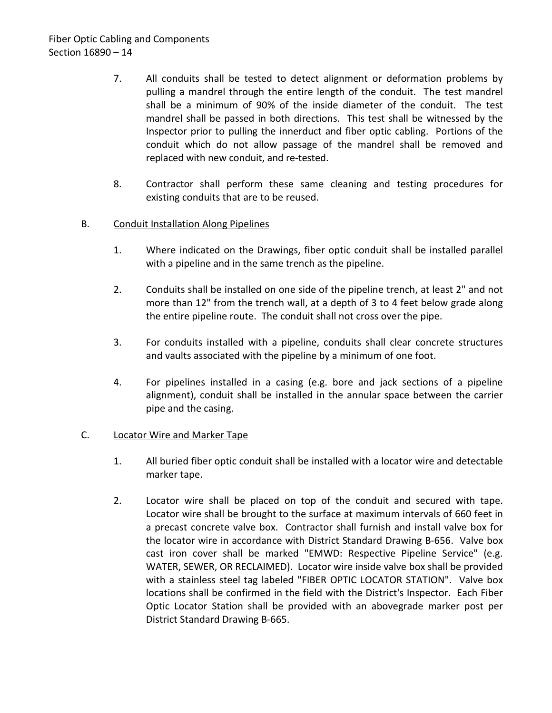- 7. All conduits shall be tested to detect alignment or deformation problems by pulling a mandrel through the entire length of the conduit. The test mandrel shall be a minimum of 90% of the inside diameter of the conduit. The test mandrel shall be passed in both directions. This test shall be witnessed by the Inspector prior to pulling the innerduct and fiber optic cabling. Portions of the conduit which do not allow passage of the mandrel shall be removed and replaced with new conduit, and re-tested.
- 8. Contractor shall perform these same cleaning and testing procedures for existing conduits that are to be reused.
- B. Conduit Installation Along Pipelines
	- 1. Where indicated on the Drawings, fiber optic conduit shall be installed parallel with a pipeline and in the same trench as the pipeline.
	- 2. Conduits shall be installed on one side of the pipeline trench, at least 2" and not more than 12" from the trench wall, at a depth of 3 to 4 feet below grade along the entire pipeline route. The conduit shall not cross over the pipe.
	- 3. For conduits installed with a pipeline, conduits shall clear concrete structures and vaults associated with the pipeline by a minimum of one foot.
	- 4. For pipelines installed in a casing (e.g. bore and jack sections of a pipeline alignment), conduit shall be installed in the annular space between the carrier pipe and the casing.

#### C. Locator Wire and Marker Tape

- 1. All buried fiber optic conduit shall be installed with a locator wire and detectable marker tape.
- 2. Locator wire shall be placed on top of the conduit and secured with tape. Locator wire shall be brought to the surface at maximum intervals of 660 feet in a precast concrete valve box. Contractor shall furnish and install valve box for the locator wire in accordance with District Standard Drawing B-656. Valve box cast iron cover shall be marked "EMWD: Respective Pipeline Service" (e.g. WATER, SEWER, OR RECLAIMED). Locator wire inside valve box shall be provided with a stainless steel tag labeled "FIBER OPTIC LOCATOR STATION". Valve box locations shall be confirmed in the field with the District's Inspector. Each Fiber Optic Locator Station shall be provided with an abovegrade marker post per District Standard Drawing B-665.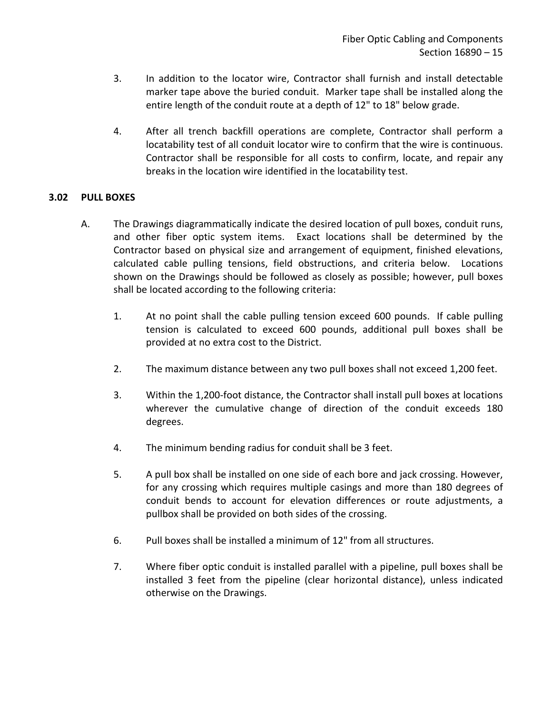- 3. In addition to the locator wire, Contractor shall furnish and install detectable marker tape above the buried conduit. Marker tape shall be installed along the entire length of the conduit route at a depth of 12" to 18" below grade.
- 4. After all trench backfill operations are complete, Contractor shall perform a locatability test of all conduit locator wire to confirm that the wire is continuous. Contractor shall be responsible for all costs to confirm, locate, and repair any breaks in the location wire identified in the locatability test.

# <span id="page-16-0"></span>**3.02 PULL BOXES**

- A. The Drawings diagrammatically indicate the desired location of pull boxes, conduit runs, and other fiber optic system items. Exact locations shall be determined by the Contractor based on physical size and arrangement of equipment, finished elevations, calculated cable pulling tensions, field obstructions, and criteria below. Locations shown on the Drawings should be followed as closely as possible; however, pull boxes shall be located according to the following criteria:
	- 1. At no point shall the cable pulling tension exceed 600 pounds. If cable pulling tension is calculated to exceed 600 pounds, additional pull boxes shall be provided at no extra cost to the District.
	- 2. The maximum distance between any two pull boxes shall not exceed 1,200 feet.
	- 3. Within the 1,200-foot distance, the Contractor shall install pull boxes at locations wherever the cumulative change of direction of the conduit exceeds 180 degrees.
	- 4. The minimum bending radius for conduit shall be 3 feet.
	- 5. A pull box shall be installed on one side of each bore and jack crossing. However, for any crossing which requires multiple casings and more than 180 degrees of conduit bends to account for elevation differences or route adjustments, a pullbox shall be provided on both sides of the crossing.
	- 6. Pull boxes shall be installed a minimum of 12" from all structures.
	- 7. Where fiber optic conduit is installed parallel with a pipeline, pull boxes shall be installed 3 feet from the pipeline (clear horizontal distance), unless indicated otherwise on the Drawings.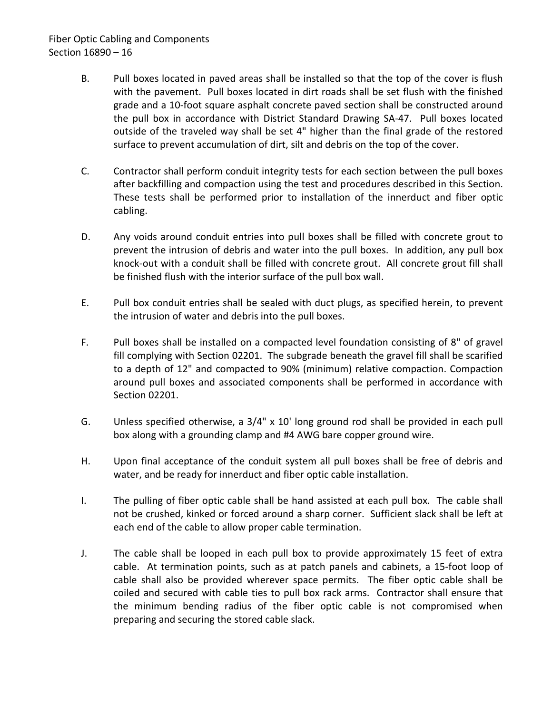# Fiber Optic Cabling and Components Section 16890 – 16

- B. Pull boxes located in paved areas shall be installed so that the top of the cover is flush with the pavement. Pull boxes located in dirt roads shall be set flush with the finished grade and a 10-foot square asphalt concrete paved section shall be constructed around the pull box in accordance with District Standard Drawing SA-47. Pull boxes located outside of the traveled way shall be set 4" higher than the final grade of the restored surface to prevent accumulation of dirt, silt and debris on the top of the cover.
- C. Contractor shall perform conduit integrity tests for each section between the pull boxes after backfilling and compaction using the test and procedures described in this Section. These tests shall be performed prior to installation of the innerduct and fiber optic cabling.
- D. Any voids around conduit entries into pull boxes shall be filled with concrete grout to prevent the intrusion of debris and water into the pull boxes. In addition, any pull box knock-out with a conduit shall be filled with concrete grout. All concrete grout fill shall be finished flush with the interior surface of the pull box wall.
- E. Pull box conduit entries shall be sealed with duct plugs, as specified herein, to prevent the intrusion of water and debris into the pull boxes.
- F. Pull boxes shall be installed on a compacted level foundation consisting of 8" of gravel fill complying with Section 02201. The subgrade beneath the gravel fill shall be scarified to a depth of 12" and compacted to 90% (minimum) relative compaction. Compaction around pull boxes and associated components shall be performed in accordance with Section 02201.
- G. Unless specified otherwise, a 3/4" x 10' long ground rod shall be provided in each pull box along with a grounding clamp and #4 AWG bare copper ground wire.
- H. Upon final acceptance of the conduit system all pull boxes shall be free of debris and water, and be ready for innerduct and fiber optic cable installation.
- I. The pulling of fiber optic cable shall be hand assisted at each pull box. The cable shall not be crushed, kinked or forced around a sharp corner. Sufficient slack shall be left at each end of the cable to allow proper cable termination.
- J. The cable shall be looped in each pull box to provide approximately 15 feet of extra cable. At termination points, such as at patch panels and cabinets, a 15-foot loop of cable shall also be provided wherever space permits. The fiber optic cable shall be coiled and secured with cable ties to pull box rack arms. Contractor shall ensure that the minimum bending radius of the fiber optic cable is not compromised when preparing and securing the stored cable slack.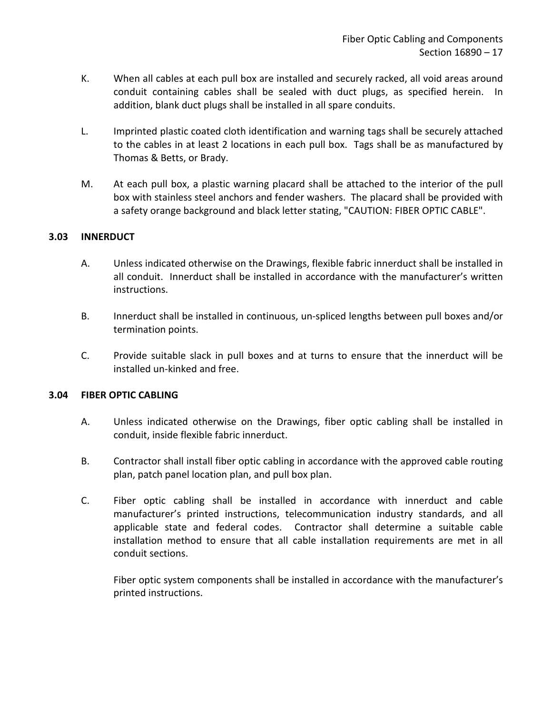- K. When all cables at each pull box are installed and securely racked, all void areas around conduit containing cables shall be sealed with duct plugs, as specified herein. In addition, blank duct plugs shall be installed in all spare conduits.
- L. Imprinted plastic coated cloth identification and warning tags shall be securely attached to the cables in at least 2 locations in each pull box. Tags shall be as manufactured by Thomas & Betts, or Brady.
- M. At each pull box, a plastic warning placard shall be attached to the interior of the pull box with stainless steel anchors and fender washers. The placard shall be provided with a safety orange background and black letter stating, "CAUTION: FIBER OPTIC CABLE".

# <span id="page-18-0"></span>**3.03 INNERDUCT**

- A. Unless indicated otherwise on the Drawings, flexible fabric innerduct shall be installed in all conduit. Innerduct shall be installed in accordance with the manufacturer's written instructions.
- B. Innerduct shall be installed in continuous, un-spliced lengths between pull boxes and/or termination points.
- C. Provide suitable slack in pull boxes and at turns to ensure that the innerduct will be installed un-kinked and free.

#### <span id="page-18-1"></span>**3.04 FIBER OPTIC CABLING**

- A. Unless indicated otherwise on the Drawings, fiber optic cabling shall be installed in conduit, inside flexible fabric innerduct.
- B. Contractor shall install fiber optic cabling in accordance with the approved cable routing plan, patch panel location plan, and pull box plan.
- C. Fiber optic cabling shall be installed in accordance with innerduct and cable manufacturer's printed instructions, telecommunication industry standards, and all applicable state and federal codes. Contractor shall determine a suitable cable installation method to ensure that all cable installation requirements are met in all conduit sections.

Fiber optic system components shall be installed in accordance with the manufacturer's printed instructions.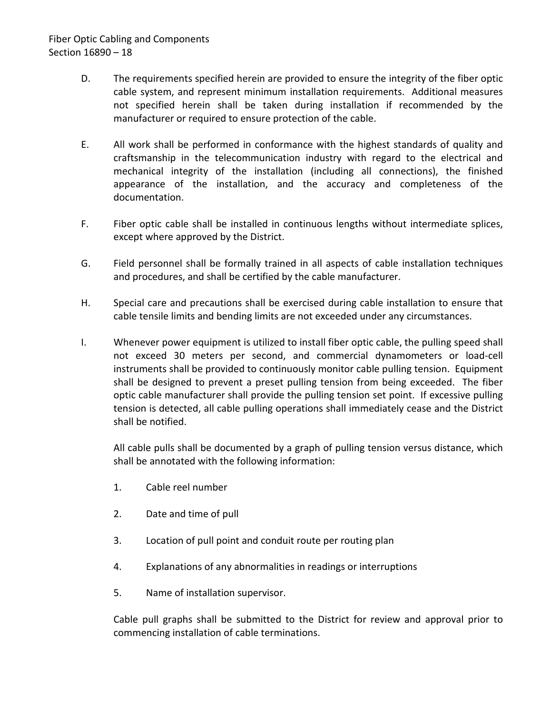- D. The requirements specified herein are provided to ensure the integrity of the fiber optic cable system, and represent minimum installation requirements. Additional measures not specified herein shall be taken during installation if recommended by the manufacturer or required to ensure protection of the cable.
- E. All work shall be performed in conformance with the highest standards of quality and craftsmanship in the telecommunication industry with regard to the electrical and mechanical integrity of the installation (including all connections), the finished appearance of the installation, and the accuracy and completeness of the documentation.
- F. Fiber optic cable shall be installed in continuous lengths without intermediate splices, except where approved by the District.
- G. Field personnel shall be formally trained in all aspects of cable installation techniques and procedures, and shall be certified by the cable manufacturer.
- H. Special care and precautions shall be exercised during cable installation to ensure that cable tensile limits and bending limits are not exceeded under any circumstances.
- I. Whenever power equipment is utilized to install fiber optic cable, the pulling speed shall not exceed 30 meters per second, and commercial dynamometers or load-cell instruments shall be provided to continuously monitor cable pulling tension. Equipment shall be designed to prevent a preset pulling tension from being exceeded. The fiber optic cable manufacturer shall provide the pulling tension set point. If excessive pulling tension is detected, all cable pulling operations shall immediately cease and the District shall be notified.

All cable pulls shall be documented by a graph of pulling tension versus distance, which shall be annotated with the following information:

- 1. Cable reel number
- 2. Date and time of pull
- 3. Location of pull point and conduit route per routing plan
- 4. Explanations of any abnormalities in readings or interruptions
- 5. Name of installation supervisor.

Cable pull graphs shall be submitted to the District for review and approval prior to commencing installation of cable terminations.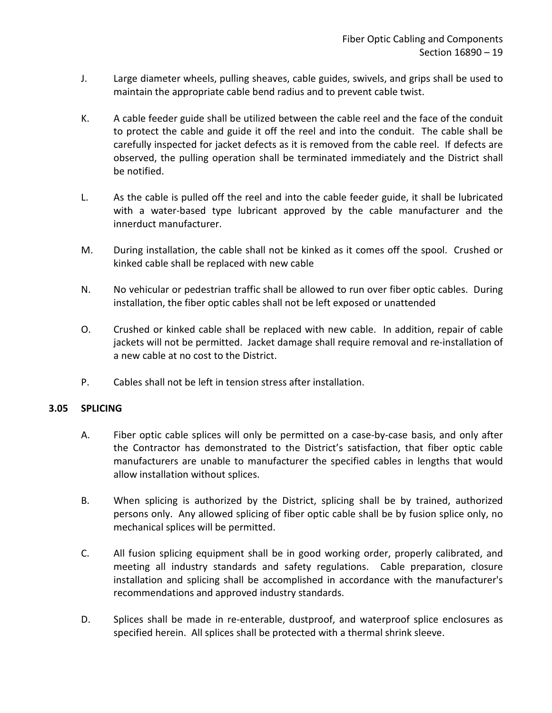- J. Large diameter wheels, pulling sheaves, cable guides, swivels, and grips shall be used to maintain the appropriate cable bend radius and to prevent cable twist.
- K. A cable feeder guide shall be utilized between the cable reel and the face of the conduit to protect the cable and guide it off the reel and into the conduit. The cable shall be carefully inspected for jacket defects as it is removed from the cable reel. If defects are observed, the pulling operation shall be terminated immediately and the District shall be notified.
- L. As the cable is pulled off the reel and into the cable feeder guide, it shall be lubricated with a water-based type lubricant approved by the cable manufacturer and the innerduct manufacturer.
- M. During installation, the cable shall not be kinked as it comes off the spool. Crushed or kinked cable shall be replaced with new cable
- N. No vehicular or pedestrian traffic shall be allowed to run over fiber optic cables. During installation, the fiber optic cables shall not be left exposed or unattended
- O. Crushed or kinked cable shall be replaced with new cable. In addition, repair of cable jackets will not be permitted. Jacket damage shall require removal and re-installation of a new cable at no cost to the District.
- P. Cables shall not be left in tension stress after installation.

# <span id="page-20-0"></span>**3.05 SPLICING**

- A. Fiber optic cable splices will only be permitted on a case-by-case basis, and only after the Contractor has demonstrated to the District's satisfaction, that fiber optic cable manufacturers are unable to manufacturer the specified cables in lengths that would allow installation without splices.
- B. When splicing is authorized by the District, splicing shall be by trained, authorized persons only. Any allowed splicing of fiber optic cable shall be by fusion splice only, no mechanical splices will be permitted.
- C. All fusion splicing equipment shall be in good working order, properly calibrated, and meeting all industry standards and safety regulations. Cable preparation, closure installation and splicing shall be accomplished in accordance with the manufacturer's recommendations and approved industry standards.
- D. Splices shall be made in re-enterable, dustproof, and waterproof splice enclosures as specified herein. All splices shall be protected with a thermal shrink sleeve.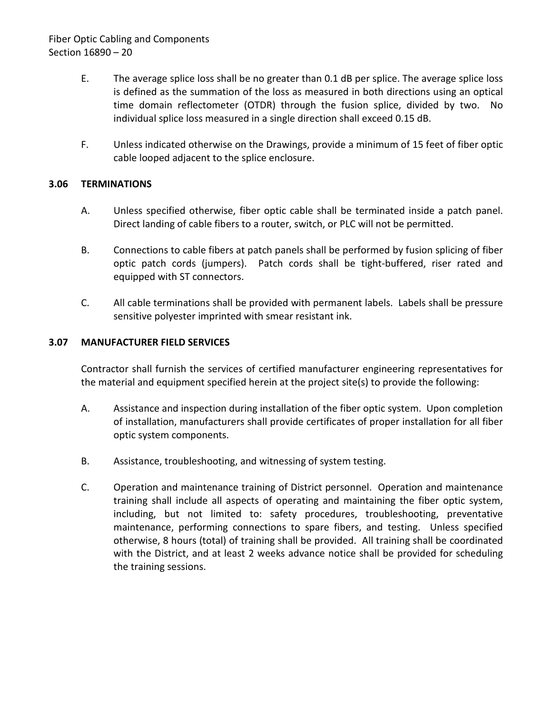# Fiber Optic Cabling and Components Section 16890 – 20

- E. The average splice loss shall be no greater than 0.1 dB per splice. The average splice loss is defined as the summation of the loss as measured in both directions using an optical time domain reflectometer (OTDR) through the fusion splice, divided by two. No individual splice loss measured in a single direction shall exceed 0.15 dB.
- F. Unless indicated otherwise on the Drawings, provide a minimum of 15 feet of fiber optic cable looped adjacent to the splice enclosure.

# <span id="page-21-0"></span>**3.06 TERMINATIONS**

- A. Unless specified otherwise, fiber optic cable shall be terminated inside a patch panel. Direct landing of cable fibers to a router, switch, or PLC will not be permitted.
- B. Connections to cable fibers at patch panels shall be performed by fusion splicing of fiber optic patch cords (jumpers). Patch cords shall be tight-buffered, riser rated and equipped with ST connectors.
- C. All cable terminations shall be provided with permanent labels. Labels shall be pressure sensitive polyester imprinted with smear resistant ink.

# <span id="page-21-1"></span>**3.07 MANUFACTURER FIELD SERVICES**

Contractor shall furnish the services of certified manufacturer engineering representatives for the material and equipment specified herein at the project site(s) to provide the following:

- A. Assistance and inspection during installation of the fiber optic system. Upon completion of installation, manufacturers shall provide certificates of proper installation for all fiber optic system components.
- B. Assistance, troubleshooting, and witnessing of system testing.
- C. Operation and maintenance training of District personnel. Operation and maintenance training shall include all aspects of operating and maintaining the fiber optic system, including, but not limited to: safety procedures, troubleshooting, preventative maintenance, performing connections to spare fibers, and testing. Unless specified otherwise, 8 hours (total) of training shall be provided. All training shall be coordinated with the District, and at least 2 weeks advance notice shall be provided for scheduling the training sessions.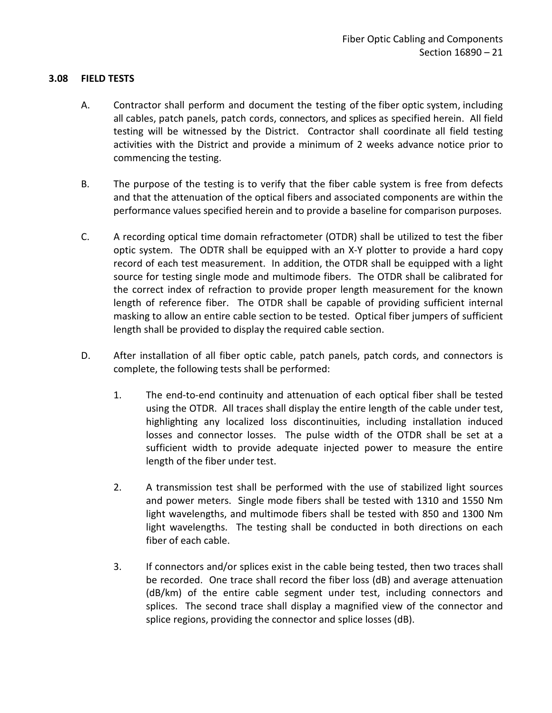# <span id="page-22-0"></span>**3.08 FIELD TESTS**

- A. Contractor shall perform and document the testing of the fiber optic system, including all cables, patch panels, patch cords, connectors, and splices as specified herein. All field testing will be witnessed by the District. Contractor shall coordinate all field testing activities with the District and provide a minimum of 2 weeks advance notice prior to commencing the testing.
- B. The purpose of the testing is to verify that the fiber cable system is free from defects and that the attenuation of the optical fibers and associated components are within the performance values specified herein and to provide a baseline for comparison purposes.
- C. A recording optical time domain refractometer (OTDR) shall be utilized to test the fiber optic system. The ODTR shall be equipped with an X-Y plotter to provide a hard copy record of each test measurement. In addition, the OTDR shall be equipped with a light source for testing single mode and multimode fibers. The OTDR shall be calibrated for the correct index of refraction to provide proper length measurement for the known length of reference fiber. The OTDR shall be capable of providing sufficient internal masking to allow an entire cable section to be tested. Optical fiber jumpers of sufficient length shall be provided to display the required cable section.
- D. After installation of all fiber optic cable, patch panels, patch cords, and connectors is complete, the following tests shall be performed:
	- 1. The end-to-end continuity and attenuation of each optical fiber shall be tested using the OTDR. All traces shall display the entire length of the cable under test, highlighting any localized loss discontinuities, including installation induced losses and connector losses. The pulse width of the OTDR shall be set at a sufficient width to provide adequate injected power to measure the entire length of the fiber under test.
	- 2. A transmission test shall be performed with the use of stabilized light sources and power meters. Single mode fibers shall be tested with 1310 and 1550 Nm light wavelengths, and multimode fibers shall be tested with 850 and 1300 Nm light wavelengths. The testing shall be conducted in both directions on each fiber of each cable.
	- 3. If connectors and/or splices exist in the cable being tested, then two traces shall be recorded. One trace shall record the fiber loss (dB) and average attenuation (dB/km) of the entire cable segment under test, including connectors and splices. The second trace shall display a magnified view of the connector and splice regions, providing the connector and splice losses (dB).